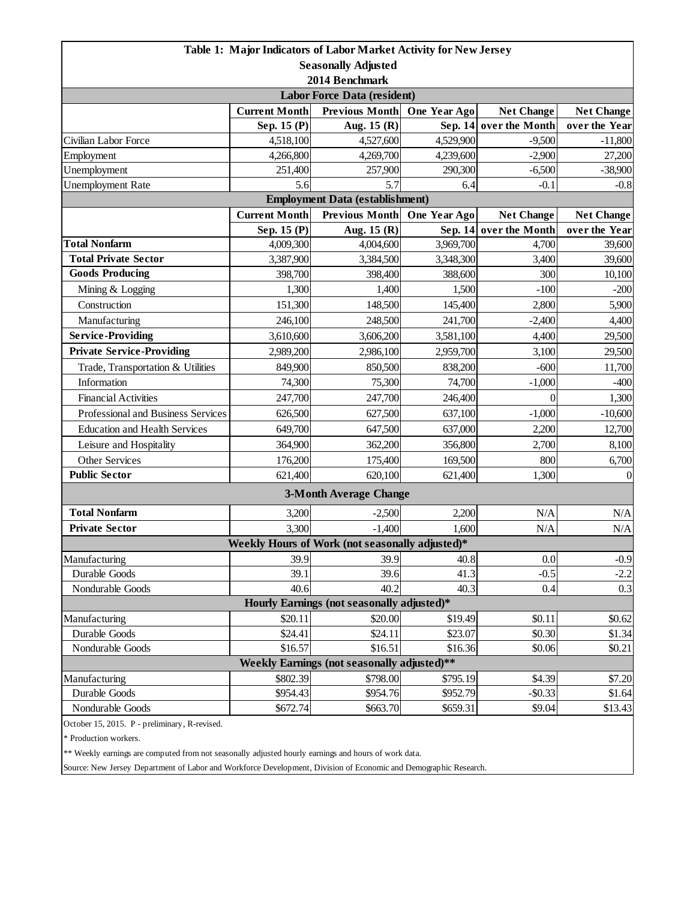|                                               |                      | Table 1: Major Indicators of Labor Market Activity for New Jersey |              |                        |                   |  |  |  |
|-----------------------------------------------|----------------------|-------------------------------------------------------------------|--------------|------------------------|-------------------|--|--|--|
|                                               |                      | <b>Seasonally Adjusted</b>                                        |              |                        |                   |  |  |  |
| 2014 Benchmark                                |                      |                                                                   |              |                        |                   |  |  |  |
| <b>Labor Force Data (resident)</b>            |                      |                                                                   |              |                        |                   |  |  |  |
|                                               | <b>Current Month</b> | <b>Previous Month</b>                                             | One Year Ago | <b>Net Change</b>      | <b>Net Change</b> |  |  |  |
|                                               | Sep. 15 (P)          | Aug. $15(R)$                                                      | Sep. 14      | over the Month         | over the Year     |  |  |  |
| Civilian Labor Force                          | 4,518,100            | 4,527,600                                                         | 4,529,900    | $-9,500$               | $-11,800$         |  |  |  |
| Employment                                    | 4,266,800            | 4,269,700                                                         | 4,239,600    | $-2,900$               | 27,200            |  |  |  |
| Unemployment                                  | 251,400              | 257,900                                                           | 290,300      | $-6,500$               | $-38,900$         |  |  |  |
| <b>Unemployment Rate</b>                      | 5.6                  | 5.7                                                               | 6.4          | $-0.1$                 | $-0.8$            |  |  |  |
|                                               |                      | <b>Employment Data (establishment)</b>                            |              |                        |                   |  |  |  |
|                                               | <b>Current Month</b> | <b>Previous Month</b>                                             | One Year Ago | <b>Net Change</b>      | <b>Net Change</b> |  |  |  |
|                                               | Sep. 15 (P)          | Aug. $15(R)$                                                      |              | Sep. 14 over the Month | over the Year     |  |  |  |
| <b>Total Nonfarm</b>                          | 4,009,300            | 4,004,600                                                         | 3,969,700    | 4,700                  | 39,600            |  |  |  |
| <b>Total Private Sector</b>                   | 3,387,900            | 3,384,500                                                         | 3,348,300    | 3,400                  | 39,600            |  |  |  |
| <b>Goods Producing</b>                        | 398,700              | 398,400                                                           | 388,600      | 300                    | 10,100            |  |  |  |
| Mining & Logging                              | 1,300                | 1,400                                                             | 1,500        | $-100$                 | $-200$            |  |  |  |
| Construction                                  | 151,300              | 148,500                                                           | 145,400      | 2,800                  | 5,900             |  |  |  |
| Manufacturing                                 | 246,100              | 248,500                                                           | 241,700      | $-2,400$               | 4,400             |  |  |  |
| <b>Service-Providing</b>                      | 3,610,600            | 3,606,200                                                         | 3,581,100    | 4,400                  | 29,500            |  |  |  |
| <b>Private Service-Providing</b>              | 2,989,200            | 2,986,100                                                         | 2,959,700    | 3,100                  | 29,500            |  |  |  |
| Trade, Transportation & Utilities             | 849,900              | 850,500                                                           | 838,200      | $-600$                 | 11,700            |  |  |  |
| Information                                   | 74,300               | 75,300                                                            | 74,700       | $-1,000$               | $-400$            |  |  |  |
| <b>Financial Activities</b>                   | 247,700              | 247,700                                                           | 246,400      | $\theta$               | 1,300             |  |  |  |
| Professional and Business Services            | 626,500              | 627,500                                                           | 637,100      | $-1,000$               | $-10,600$         |  |  |  |
| <b>Education and Health Services</b>          | 649,700              | 647,500                                                           | 637,000      | 2,200                  | 12,700            |  |  |  |
| Leisure and Hospitality                       | 364,900              | 362,200                                                           | 356,800      | 2,700                  | 8,100             |  |  |  |
| Other Services                                | 176,200              | 175,400                                                           | 169,500      | 800                    | 6,700             |  |  |  |
| <b>Public Sector</b>                          | 621,400              | 620,100                                                           | 621,400      | 1,300                  | $\boldsymbol{0}$  |  |  |  |
|                                               |                      | <b>3-Month Average Change</b>                                     |              |                        |                   |  |  |  |
| <b>Total Nonfarm</b>                          | 3,200                | $-2,500$                                                          | 2,200        | N/A                    | N/A               |  |  |  |
| <b>Private Sector</b>                         | 3,300                | $-1,400$                                                          | 1,600        | N/A                    | $\rm N/A$         |  |  |  |
|                                               |                      | Weekly Hours of Work (not seasonally adjusted)*                   |              |                        |                   |  |  |  |
| Manufacturing                                 | 39.9                 | 39.9                                                              | 40.8         | 0.0                    | $-0.9$            |  |  |  |
| Durable Goods                                 | 39.1                 | 39.6                                                              | 41.3         | $-0.5$                 | $-2.2$            |  |  |  |
| Nondurable Goods                              | 40.6                 | 40.2                                                              | 40.3         | 0.4                    | 0.3               |  |  |  |
| Hourly Earnings (not seasonally adjusted)*    |                      |                                                                   |              |                        |                   |  |  |  |
| Manufacturing                                 | \$20.11              | \$20.00                                                           | \$19.49      | \$0.11                 | \$0.62            |  |  |  |
| Durable Goods                                 | \$24.41              | \$24.11                                                           | \$23.07      | \$0.30                 | \$1.34            |  |  |  |
| Nondurable Goods                              | \$16.57              | \$16.51                                                           | \$16.36      | \$0.06                 | \$0.21            |  |  |  |
|                                               |                      | Weekly Earnings (not seasonally adjusted)**                       |              |                        |                   |  |  |  |
| Manufacturing                                 | \$802.39             | \$798.00                                                          | \$795.19     | \$4.39                 | \$7.20            |  |  |  |
| Durable Goods                                 | \$954.43             | \$954.76                                                          | \$952.79     | $-$ \$0.33             | \$1.64            |  |  |  |
| Nondurable Goods                              | \$672.74             | \$663.70                                                          | \$659.31     | \$9.04                 | \$13.43           |  |  |  |
| October 15, 2015. P - preliminary, R-revised. |                      |                                                                   |              |                        |                   |  |  |  |

\* Production workers.

\*\* Weekly earnings are computed from not seasonally adjusted hourly earnings and hours of work data.

Source: New Jersey Department of Labor and Workforce Development, Division of Economic and Demographic Research.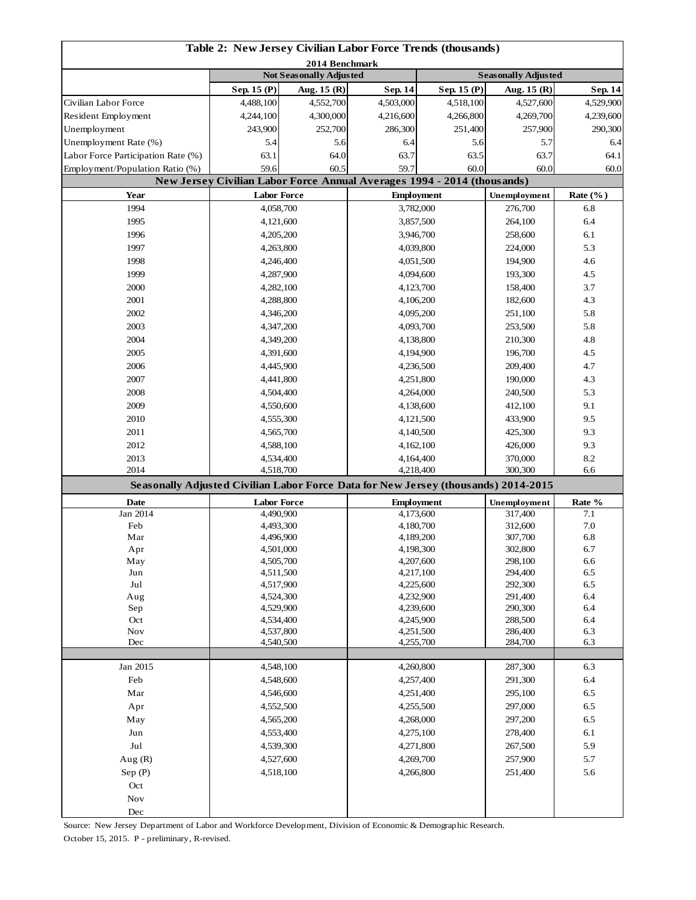| Table 2: New Jersey Civilian Labor Force Trends (thousands)                        |                        |                                |                        |                                                                                         |                         |                      |  |
|------------------------------------------------------------------------------------|------------------------|--------------------------------|------------------------|-----------------------------------------------------------------------------------------|-------------------------|----------------------|--|
| 2014 Benchmark                                                                     |                        |                                |                        |                                                                                         |                         |                      |  |
|                                                                                    |                        | <b>Not Seasonally Adjusted</b> |                        | <b>Seasonally Adjusted</b>                                                              |                         |                      |  |
|                                                                                    | Sep. 15 (P)            | Aug. $15(R)$                   | <b>Sep. 14</b>         | Sep. 15 (P)                                                                             | Aug. 15 (R)             | <b>Sep. 14</b>       |  |
| Civilian Labor Force                                                               | 4,488,100              | 4,552,700                      | 4,503,000              | 4,518,100                                                                               | 4,527,600               | 4,529,900            |  |
| Resident Employment                                                                | 4,244,100<br>243,900   | 4,300,000<br>252,700           | 4,216,600<br>286,300   | 4,266,800<br>251,400                                                                    | 4,269,700<br>257,900    | 4,239,600<br>290,300 |  |
| Unemployment                                                                       |                        |                                |                        |                                                                                         |                         |                      |  |
| Unemployment Rate (%)                                                              | 5.4                    | 5.6                            | 6.4                    | 5.6                                                                                     | 5.7<br>63.7             | 6.4                  |  |
| Labor Force Participation Rate (%)<br>Employment/Population Ratio (%)              | 63.1<br>59.6           | 64.0<br>60.5                   |                        | 63.7<br>63.5                                                                            |                         | 64.1                 |  |
|                                                                                    |                        |                                |                        | 59.7<br>60.0<br>New Jersey Civilian Labor Force Annual Averages 1994 - 2014 (thousands) |                         | 60.0<br>60.0         |  |
| Year                                                                               | <b>Labor Force</b>     |                                |                        | <b>Employment</b>                                                                       |                         | Rate $(\%$ )         |  |
| 1994                                                                               | 4,058,700              |                                |                        | 3,782,000                                                                               | Unemployment<br>276,700 | 6.8                  |  |
| 1995                                                                               | 4,121,600              |                                | 3,857,500              |                                                                                         | 264,100                 | 6.4                  |  |
| 1996                                                                               | 4,205,200              |                                |                        | 3,946,700                                                                               |                         | 6.1                  |  |
| 1997                                                                               | 4,263,800              |                                | 4,039,800              |                                                                                         | 258,600<br>224,000      | 5.3                  |  |
| 1998                                                                               | 4,246,400              |                                | 4,051,500              |                                                                                         | 194,900                 | 4.6                  |  |
| 1999                                                                               | 4,287,900              |                                | 4,094,600              |                                                                                         | 193,300                 | 4.5                  |  |
| 2000                                                                               | 4,282,100              |                                | 4,123,700              |                                                                                         | 158,400                 | 3.7                  |  |
| 2001                                                                               | 4,288,800              |                                |                        | 4,106,200                                                                               | 182,600                 | 4.3                  |  |
| 2002                                                                               | 4,346,200              |                                |                        | 4,095,200                                                                               | 251,100                 | 5.8                  |  |
| 2003                                                                               | 4,347,200              |                                |                        | 4,093,700                                                                               | 253,500                 | 5.8                  |  |
| 2004                                                                               | 4,349,200              |                                |                        |                                                                                         | 210,300                 | 4.8                  |  |
| 2005                                                                               | 4,391,600              |                                |                        | 4,138,800<br>4,194,900                                                                  |                         | 4.5                  |  |
| 2006                                                                               | 4,445,900              |                                |                        | 4,236,500                                                                               | 196,700<br>209,400      | 4.7                  |  |
| 2007                                                                               | 4,441,800              |                                |                        | 4,251,800                                                                               |                         | 4.3                  |  |
| 2008                                                                               | 4,504,400              |                                | 4,264,000              |                                                                                         | 190,000<br>240,500      | 5.3                  |  |
| 2009                                                                               | 4,550,600              |                                | 4,138,600              |                                                                                         | 412,100                 | 9.1                  |  |
| 2010                                                                               | 4,555,300              |                                | 4,121,500              |                                                                                         | 433,900                 | 9.5                  |  |
| 2011                                                                               | 4,565,700              |                                | 4,140,500              |                                                                                         | 425,300                 | 9.3                  |  |
| 2012                                                                               | 4,588,100              |                                | 4,162,100              |                                                                                         | 426,000                 | 9.3                  |  |
| 2013                                                                               | 4,534,400              |                                | 4,164,400              |                                                                                         | 370,000                 | 8.2                  |  |
| 2014                                                                               | 4,518,700              |                                | 4,218,400              |                                                                                         | 300,300                 | 6.6                  |  |
| Seasonally Adjusted Civilian Labor Force Data for New Jersey (thousands) 2014-2015 |                        |                                |                        |                                                                                         |                         |                      |  |
| <b>Date</b>                                                                        | <b>Labor Force</b>     |                                | <b>Employment</b>      |                                                                                         | Unemployment            | Rate %               |  |
| Jan 2014                                                                           | 4,490,900              |                                |                        | 4,173,600                                                                               | 317,400                 | 7.1                  |  |
| Feb                                                                                | 4,493,300              |                                | 4,180,700              |                                                                                         | 312,600                 | 7.0                  |  |
| Mar                                                                                | 4,496,900              |                                | 4,189,200              |                                                                                         | 307,700                 | 6.8                  |  |
| Apr                                                                                | 4,501,000              |                                | 4,198,300              |                                                                                         | 302,800                 | 6.7                  |  |
| May                                                                                | 4,505,700              |                                | 4,207,600              |                                                                                         | 298,100                 | 6.6                  |  |
| Jun<br>Jul                                                                         | 4,511,500              |                                | 4,217,100              |                                                                                         | 294,400<br>292,300      | 6.5                  |  |
| Aug                                                                                | 4,517,900              |                                | 4,225,600<br>4,232,900 |                                                                                         | 291,400                 | 6.5<br>6.4           |  |
| Sep                                                                                | 4,524,300<br>4,529,900 |                                | 4,239,600              |                                                                                         | 290,300                 | 6.4                  |  |
| Oct                                                                                | 4,534,400              |                                | 4,245,900              |                                                                                         | 288,500                 | 6.4                  |  |
| <b>Nov</b>                                                                         | 4,537,800              |                                | 4,251,500              |                                                                                         | 286,400                 | 6.3                  |  |
| Dec                                                                                |                        | 4,540,500                      |                        | 4,255,700                                                                               |                         | 6.3                  |  |
| Jan 2015                                                                           |                        |                                |                        |                                                                                         | 287,300                 | 6.3                  |  |
| Feb                                                                                | 4,548,100              |                                | 4,260,800<br>4,257,400 |                                                                                         | 291,300                 | 6.4                  |  |
| Mar                                                                                | 4,548,600<br>4,546,600 |                                | 4,251,400              |                                                                                         | 295,100                 | 6.5                  |  |
| Apr                                                                                |                        |                                | 4,255,500              |                                                                                         | 297,000                 | 6.5                  |  |
| May                                                                                | 4,552,500<br>4,565,200 |                                | 4,268,000              |                                                                                         | 297,200                 | 6.5                  |  |
| Jun                                                                                |                        |                                |                        |                                                                                         | 278,400                 | 6.1                  |  |
| Jul                                                                                | 4,553,400<br>4,539,300 |                                | 4,275,100              |                                                                                         | 267,500                 | 5.9                  |  |
|                                                                                    | 4,527,600              |                                | 4,271,800              |                                                                                         | 257,900                 | 5.7                  |  |
| Aug $(R)$                                                                          | 4,518,100              |                                | 4,269,700<br>4,266,800 |                                                                                         | 251,400                 | 5.6                  |  |
| Sep(P)                                                                             |                        |                                |                        |                                                                                         |                         |                      |  |
| Oct<br><b>Nov</b>                                                                  |                        |                                |                        |                                                                                         |                         |                      |  |
| Dec                                                                                |                        |                                |                        |                                                                                         |                         |                      |  |
|                                                                                    |                        |                                |                        |                                                                                         |                         |                      |  |

Source: New Jersey Department of Labor and Workforce Development, Division of Economic & Demographic Research. October 15, 2015. P - preliminary, R-revised.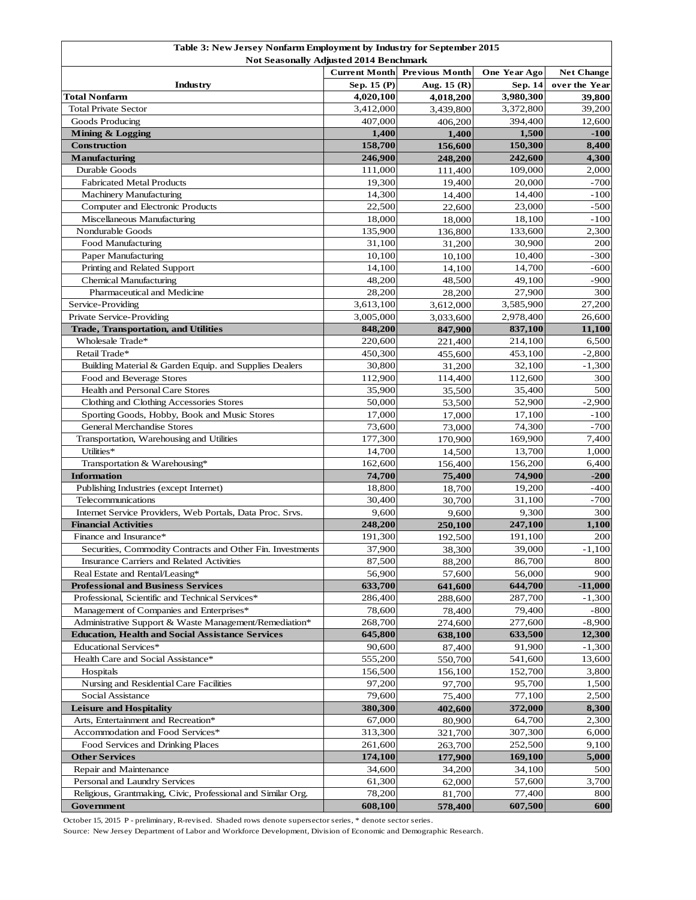| Table 3: New Jersey Nonfarm Employment by Industry for September 2015<br>Not Seasonally Adjusted 2014 Benchmark |                                               |                 |                     |                   |  |  |
|-----------------------------------------------------------------------------------------------------------------|-----------------------------------------------|-----------------|---------------------|-------------------|--|--|
|                                                                                                                 | <b>Current Month</b><br><b>Previous Month</b> |                 | <b>One Year Ago</b> | <b>Net Change</b> |  |  |
| Industry                                                                                                        | Sep. 15 (P)                                   | Aug. $15(R)$    | Sep. 14             | over the Year     |  |  |
| <b>Total Nonfarm</b>                                                                                            | 4,020,100                                     | 4,018,200       | 3,980,300           | 39,800            |  |  |
| <b>Total Private Sector</b>                                                                                     | 3,412,000                                     | 3,439,800       | 3,372,800           | 39,200            |  |  |
| Goods Producing                                                                                                 | 407.000                                       | 406,200         | 394,400             | 12,600            |  |  |
| Mining & Logging                                                                                                | 1,400                                         | 1,400           | 1,500               | $-100$            |  |  |
| <b>Construction</b>                                                                                             | 158,700                                       | 156,600         | 150,300             | 8,400             |  |  |
| <b>Manufacturing</b>                                                                                            | 246,900                                       | 248,200         | 242,600             | 4,300             |  |  |
| Durable Goods                                                                                                   | 111,000                                       | 111,400         | 109,000             | 2,000             |  |  |
| <b>Fabricated Metal Products</b>                                                                                | 19.300                                        | 19,400          | 20,000              | $-700$            |  |  |
| <b>Machinery Manufacturing</b>                                                                                  | 14,300                                        | 14,400          | 14,400              | $-100$            |  |  |
| Computer and Electronic Products                                                                                | 22,500                                        | 22,600          | 23,000              | $-500$            |  |  |
| Miscellaneous Manufacturing                                                                                     | 18,000                                        | 18,000          | 18,100              | $-100$            |  |  |
| Nondurable Goods                                                                                                | 135,900                                       | 136,800         | 133,600             | 2,300             |  |  |
| Food Manufacturing                                                                                              | 31,100                                        | 31,200          | 30,900              | 200               |  |  |
| Paper Manufacturing                                                                                             | 10,100                                        | 10,100          | 10,400              | $-300$            |  |  |
| Printing and Related Support                                                                                    | 14,100                                        | 14,100          | 14,700              | $-600$            |  |  |
| <b>Chemical Manufacturing</b>                                                                                   | 48,200                                        | 48,500          | 49,100              | $-900$            |  |  |
| Pharmaceutical and Medicine                                                                                     | 28,200                                        | 28,200          | 27,900              | 300               |  |  |
| Service-Providing                                                                                               | 3,613,100                                     | 3,612,000       | 3,585,900           | 27,200            |  |  |
| Private Service-Providing                                                                                       | 3,005,000                                     | 3,033,600       | 2,978,400           | 26,600            |  |  |
| <b>Trade, Transportation, and Utilities</b>                                                                     | 848,200                                       | 847,900         | 837,100             | 11,100            |  |  |
| Wholesale Trade*                                                                                                | 220,600                                       | 221,400         | 214,100             | 6,500             |  |  |
| Retail Trade*                                                                                                   | 450,300                                       | 455,600         | 453,100             | $-2,800$          |  |  |
| Building Material & Garden Equip. and Supplies Dealers                                                          | 30,800                                        | 31,200          | 32,100              | $-1,300$          |  |  |
| Food and Beverage Stores                                                                                        | 112,900                                       | 114,400         | 112,600             | 300               |  |  |
| Health and Personal Care Stores                                                                                 | 35,900                                        | 35,500          | 35,400              | 500               |  |  |
| Clothing and Clothing Accessories Stores                                                                        | 50,000                                        | 53,500          | 52,900              | $-2,900$          |  |  |
| Sporting Goods, Hobby, Book and Music Stores                                                                    | 17,000                                        | 17,000          | 17,100              | $-100$            |  |  |
| <b>General Merchandise Stores</b>                                                                               | 73,600                                        | 73,000          | 74,300              | $-700$            |  |  |
| Transportation, Warehousing and Utilities                                                                       | 177,300                                       | 170,900         | 169,900             | 7,400             |  |  |
| Utilities*                                                                                                      | 14,700                                        | 14,500          | 13,700              | 1,000             |  |  |
| Transportation & Warehousing*                                                                                   | 162,600                                       | 156,400         | 156,200             | 6,400             |  |  |
| <b>Information</b><br>Publishing Industries (except Internet)                                                   | 74,700<br>18,800                              | 75,400          | 74,900<br>19,200    | $-200$<br>$-400$  |  |  |
| Telecommunications                                                                                              | 30,400                                        | 18,700          | 31,100              | $-700$            |  |  |
| Internet Service Providers, Web Portals, Data Proc. Srvs.                                                       | 9,600                                         | 30,700<br>9,600 | 9,300               | 300               |  |  |
| <b>Financial Activities</b>                                                                                     | 248,200                                       | 250,100         | 247,100             | 1,100             |  |  |
| Finance and Insurance*                                                                                          | 191,300                                       | 192,500         | 191,100             | 200               |  |  |
| Securities, Commodity Contracts and Other Fin. Investments                                                      | 37,900                                        | 38,300          | 39,000              | $-1,100$          |  |  |
| Insurance Carriers and Related Activities                                                                       | 87,500                                        | 88,200          | 86,700              | 800               |  |  |
| Real Estate and Rental/Leasing*                                                                                 | 56,900                                        | 57,600          | 56,000              | 900               |  |  |
| <b>Professional and Business Services</b>                                                                       | 633,700                                       | 641,600         | 644,700             | $-11,000$         |  |  |
| Professional, Scientific and Technical Services*                                                                | 286,400                                       | 288,600         | 287,700             | $-1,300$          |  |  |
| Management of Companies and Enterprises*                                                                        | 78,600                                        | 78,400          | 79,400              | $-800$            |  |  |
| Administrative Support & Waste Management/Remediation*                                                          | 268,700                                       | 274,600         | 277,600             | $-8,900$          |  |  |
| <b>Education, Health and Social Assistance Services</b>                                                         | 645,800                                       | 638,100         | 633,500             | 12,300            |  |  |
| Educational Services*                                                                                           | 90,600                                        | 87,400          | 91,900              | $-1,300$          |  |  |
| Health Care and Social Assistance*                                                                              | 555,200                                       | 550,700         | 541,600             | 13,600            |  |  |
| Hospitals                                                                                                       | 156,500                                       | 156,100         | 152,700             | 3,800             |  |  |
| Nursing and Residential Care Facilities                                                                         | 97,200                                        | 97,700          | 95,700              | 1,500             |  |  |
| Social Assistance                                                                                               | 79,600                                        | 75,400          | 77,100              | 2,500             |  |  |
| <b>Leisure and Hospitality</b>                                                                                  | 380,300                                       | 402,600         | 372,000             | 8,300             |  |  |
| Arts, Entertainment and Recreation*                                                                             | 67,000                                        | 80,900          | 64,700              | 2,300             |  |  |
| Accommodation and Food Services*                                                                                | 313,300                                       | 321,700         | 307,300             | 6,000             |  |  |
| Food Services and Drinking Places                                                                               | 261,600                                       | 263,700         | 252,500             | 9,100             |  |  |
| <b>Other Services</b>                                                                                           | 174,100                                       | 177,900         | 169,100             | 5,000             |  |  |
| Repair and Maintenance                                                                                          | 34,600                                        | 34,200          | 34,100              | 500               |  |  |
| Personal and Laundry Services                                                                                   | 61,300                                        | 62,000          | 57,600              | 3,700             |  |  |
| Religious, Grantmaking, Civic, Professional and Similar Org.                                                    | 78,200                                        | 81,700          | 77,400              | 800               |  |  |
| Government                                                                                                      | 608,100                                       | 578,400         | 607,500             | 600               |  |  |

October 15, 2015 P - preliminary, R-revised. Shaded rows denote supersector series, \* denote sector series.

Source: New Jersey Department of Labor and Workforce Development, Division of Economic and Demographic Research.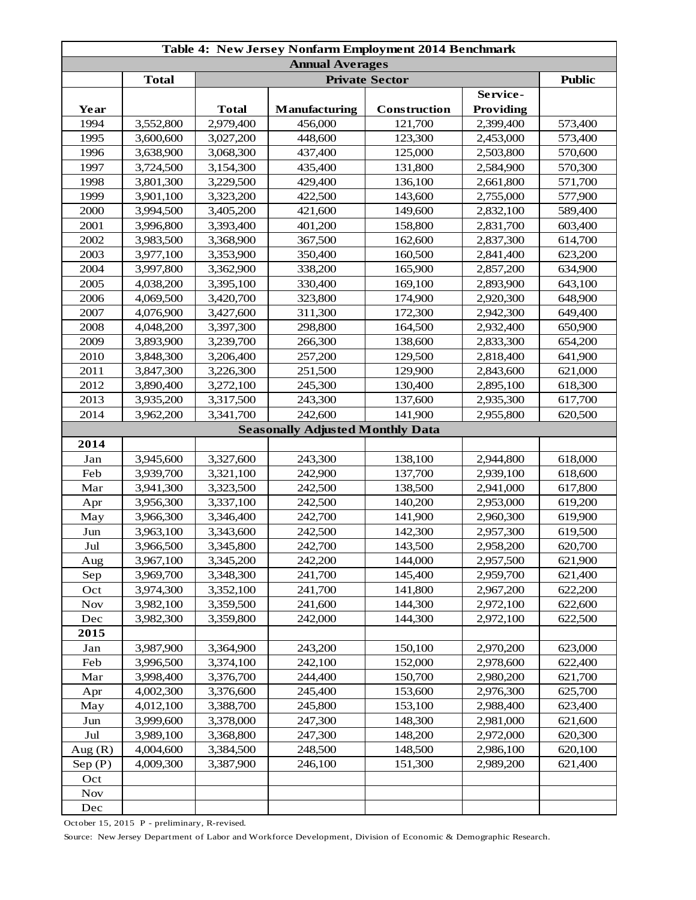| Table 4: New Jersey Nonfarm Employment 2014 Benchmark |              |                       |                                         |              |           |         |  |
|-------------------------------------------------------|--------------|-----------------------|-----------------------------------------|--------------|-----------|---------|--|
| <b>Annual Averages</b>                                |              |                       |                                         |              |           |         |  |
|                                                       | <b>Total</b> | <b>Private Sector</b> |                                         |              |           |         |  |
|                                                       |              |                       |                                         |              | Service-  |         |  |
| Year                                                  |              | <b>Total</b>          | Manufacturing                           | Construction | Providing |         |  |
| 1994                                                  | 3,552,800    | 2,979,400             | 456,000                                 | 121,700      | 2,399,400 | 573,400 |  |
| 1995                                                  | 3,600,600    | 3,027,200             | 448,600                                 | 123,300      | 2,453,000 | 573,400 |  |
| 1996                                                  | 3,638,900    | 3,068,300             | 437,400                                 | 125,000      | 2,503,800 | 570,600 |  |
| 1997                                                  | 3,724,500    | 3,154,300             | 435,400                                 | 131,800      | 2,584,900 | 570,300 |  |
| 1998                                                  | 3,801,300    | 3,229,500             | 429,400                                 | 136,100      | 2,661,800 | 571,700 |  |
| 1999                                                  | 3,901,100    | 3,323,200             | 422,500                                 | 143,600      | 2,755,000 | 577,900 |  |
| 2000                                                  | 3,994,500    | 3,405,200             | 421,600                                 | 149,600      | 2,832,100 | 589,400 |  |
| 2001                                                  | 3,996,800    | 3,393,400             | 401,200                                 | 158,800      | 2,831,700 | 603,400 |  |
| 2002                                                  | 3,983,500    | 3,368,900             | 367,500                                 | 162,600      | 2,837,300 | 614,700 |  |
| 2003                                                  | 3,977,100    | 3,353,900             | 350,400                                 | 160,500      | 2,841,400 | 623,200 |  |
| 2004                                                  | 3,997,800    | 3,362,900             | 338,200                                 | 165,900      | 2,857,200 | 634,900 |  |
| 2005                                                  | 4,038,200    | 3,395,100             | 330,400                                 | 169,100      | 2,893,900 | 643,100 |  |
| 2006                                                  | 4,069,500    | 3,420,700             | 323,800                                 | 174,900      | 2,920,300 | 648,900 |  |
| 2007                                                  | 4,076,900    | 3,427,600             | 311,300                                 | 172,300      | 2,942,300 | 649,400 |  |
| 2008                                                  | 4,048,200    | 3,397,300             | 298,800                                 | 164,500      | 2,932,400 | 650,900 |  |
| 2009                                                  | 3,893,900    | 3,239,700             | 266,300                                 | 138,600      | 2,833,300 | 654,200 |  |
| 2010                                                  | 3,848,300    | 3,206,400             | 257,200                                 | 129,500      | 2,818,400 | 641,900 |  |
| 2011                                                  | 3,847,300    | 3,226,300             | 251,500                                 | 129,900      | 2,843,600 | 621,000 |  |
| 2012                                                  | 3,890,400    | 3,272,100             | 245,300                                 | 130,400      | 2,895,100 | 618,300 |  |
| 2013                                                  | 3,935,200    | 3,317,500             | 243,300                                 | 137,600      | 2,935,300 | 617,700 |  |
| 2014                                                  | 3,962,200    | 3,341,700             | 242,600                                 | 141,900      | 2,955,800 | 620,500 |  |
|                                                       |              |                       | <b>Seasonally Adjusted Monthly Data</b> |              |           |         |  |
| 2014                                                  |              |                       |                                         |              |           |         |  |
| Jan                                                   | 3,945,600    | 3,327,600             | 243,300                                 | 138,100      | 2,944,800 | 618,000 |  |
| Feb                                                   | 3,939,700    | 3,321,100             | 242,900                                 | 137,700      | 2,939,100 | 618,600 |  |
| Mar                                                   | 3,941,300    | 3,323,500             | 242,500                                 | 138,500      | 2,941,000 | 617,800 |  |
| Apr                                                   | 3,956,300    | 3,337,100             | 242,500                                 | 140,200      | 2,953,000 | 619,200 |  |
| May                                                   | 3,966,300    | 3,346,400             | 242,700                                 | 141,900      | 2,960,300 | 619,900 |  |
| Jun                                                   | 3,963,100    | 3,343,600             | 242,500                                 | 142,300      | 2,957,300 | 619,500 |  |
| Jul                                                   | 3,966,500    | 3,345,800             | 242,700                                 | 143,500      | 2,958,200 | 620,700 |  |
| Aug                                                   | 3,967,100    | 3,345,200             | 242,200                                 | 144,000      | 2,957,500 | 621,900 |  |
| Sep                                                   | 3,969,700    | 3,348,300             | 241,700                                 | 145,400      | 2,959,700 | 621,400 |  |
| Oct                                                   | 3,974,300    | 3,352,100             | 241,700                                 | 141,800      | 2,967,200 | 622,200 |  |
| <b>Nov</b>                                            | 3,982,100    | 3,359,500             | 241,600                                 | 144,300      | 2,972,100 | 622,600 |  |
| Dec                                                   | 3,982,300    | 3,359,800             | 242,000                                 | 144,300      | 2,972,100 | 622,500 |  |
| 2015                                                  |              |                       |                                         |              |           |         |  |
| Jan                                                   | 3,987,900    | 3,364,900             | 243,200                                 | 150,100      | 2,970,200 | 623,000 |  |
| Feb                                                   | 3,996,500    | 3,374,100             | 242,100                                 | 152,000      | 2,978,600 | 622,400 |  |
| Mar                                                   | 3,998,400    | 3,376,700             | 244,400                                 | 150,700      | 2,980,200 | 621,700 |  |
| Apr                                                   | 4,002,300    | 3,376,600             | 245,400                                 | 153,600      | 2,976,300 | 625,700 |  |
| May                                                   | 4,012,100    | 3,388,700             | 245,800                                 | 153,100      | 2,988,400 | 623,400 |  |
| Jun                                                   | 3,999,600    | 3,378,000             | 247,300                                 | 148,300      | 2,981,000 | 621,600 |  |
| Jul                                                   | 3,989,100    | 3,368,800             | 247,300                                 | 148,200      | 2,972,000 | 620,300 |  |
| Aug $(R)$                                             | 4,004,600    | 3,384,500             | 248,500                                 | 148,500      | 2,986,100 | 620,100 |  |
| Sep(P)                                                | 4,009,300    | 3,387,900             | 246,100                                 | 151,300      | 2,989,200 | 621,400 |  |
| Oct                                                   |              |                       |                                         |              |           |         |  |
| <b>Nov</b>                                            |              |                       |                                         |              |           |         |  |
| Dec                                                   |              |                       |                                         |              |           |         |  |

October 15, 2015 P - preliminary, R-revised.

Source: New Jersey Department of Labor and Workforce Development, Division of Economic & Demographic Research.